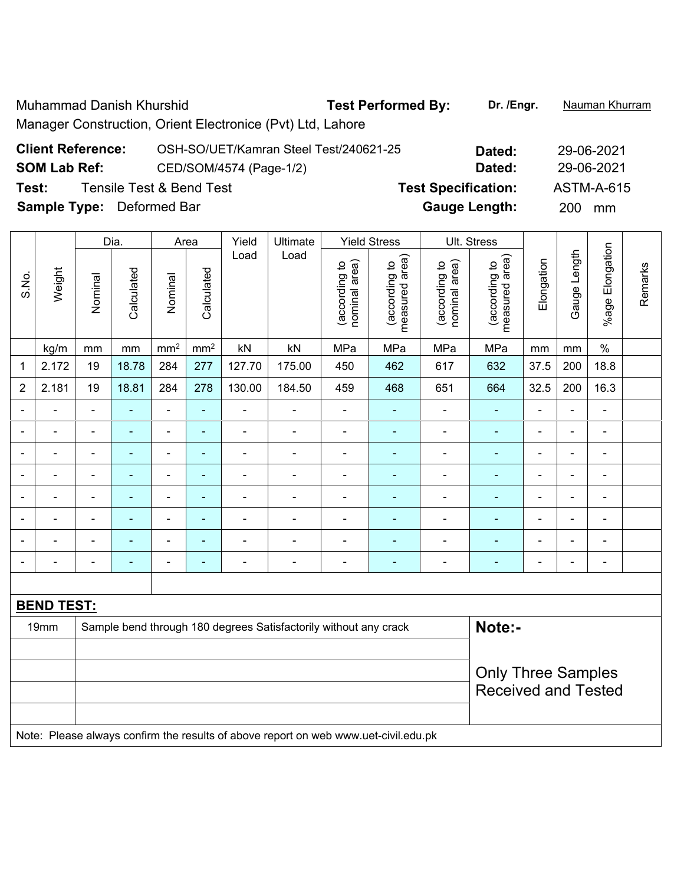Muhammad Danish Khurshid **Test Performed By: Dr. /Engr.** Nauman Khurram Manager Construction, Orient Electronice (Pvt) Ltd, Lahore

| <b>Client Reference:</b>         | OSH-SO/UET/Kamran Steel Test/240621-25 | Dated:                     | 29-06-2021        |
|----------------------------------|----------------------------------------|----------------------------|-------------------|
| <b>SOM Lab Ref:</b>              | CED/SOM/4574 (Page-1/2)                | Dated:                     | 29-06-2021        |
| Test:                            | <b>Tensile Test &amp; Bend Test</b>    | <b>Test Specification:</b> | <b>ASTM-A-615</b> |
| <b>Sample Type:</b> Deformed Bar |                                        | <b>Gauge Length:</b>       | <b>200</b><br>mm  |

|                          | Dia.<br>Area      |                              |                          | Yield                    | Ultimate                 | <b>Yield Stress</b> |                                                                  | Ult. Stress                    |                                 |                                |                                 |                            |                              |                 |         |  |
|--------------------------|-------------------|------------------------------|--------------------------|--------------------------|--------------------------|---------------------|------------------------------------------------------------------|--------------------------------|---------------------------------|--------------------------------|---------------------------------|----------------------------|------------------------------|-----------------|---------|--|
| S.No.                    | Weight            | Nominal                      | Calculated               | Nominal                  | Calculated               | Load                | Load                                                             | nominal area)<br>(according to | measured area)<br>(according to | nominal area)<br>(according to | measured area)<br>(according to | Elongation                 | Gauge Length                 | %age Elongation | Remarks |  |
|                          | kg/m              | mm                           | mm                       | mm <sup>2</sup>          | mm <sup>2</sup>          | kN                  | kN                                                               | MPa                            | MPa                             | MPa                            | MPa                             | mm                         | mm                           | $\%$            |         |  |
| 1                        | 2.172             | 19                           | 18.78                    | 284                      | 277                      | 127.70              | 175.00                                                           | 450                            | 462                             | 617                            | 632                             | 37.5                       | 200                          | 18.8            |         |  |
| $\overline{2}$           | 2.181             | 19                           | 18.81                    | 284                      | 278                      | 130.00              | 184.50                                                           | 459                            | 468                             | 651                            | 664                             | 32.5                       | 200                          | 16.3            |         |  |
| ٠                        | $\blacksquare$    | $\blacksquare$               | ä,                       | $\blacksquare$           | $\blacksquare$           | ä,                  | $\blacksquare$                                                   | $\qquad \qquad \blacksquare$   | ÷                               | ÷,                             | ÷,                              | $\blacksquare$             | $\blacksquare$               | $\blacksquare$  |         |  |
|                          |                   | $\blacksquare$               | $\blacksquare$           | $\blacksquare$           | $\overline{\phantom{a}}$ | $\blacksquare$      | $\blacksquare$                                                   | ä,                             | $\blacksquare$                  | $\blacksquare$                 | $\blacksquare$                  |                            | $\blacksquare$               | $\blacksquare$  |         |  |
| ۰                        |                   | $\blacksquare$               | $\blacksquare$           | $\blacksquare$           | $\blacksquare$           | $\blacksquare$      | $\blacksquare$                                                   | ä,                             | $\blacksquare$                  | $\blacksquare$                 | ٠                               | $\blacksquare$             | $\blacksquare$               | $\blacksquare$  |         |  |
| $\blacksquare$           | $\blacksquare$    | $\blacksquare$               | $\overline{\phantom{0}}$ | $\blacksquare$           | $\blacksquare$           | $\blacksquare$      | $\blacksquare$                                                   | $\overline{\phantom{a}}$       | ۰                               | ۰                              | $\blacksquare$                  | $\overline{\phantom{a}}$   | $\blacksquare$               | $\blacksquare$  |         |  |
|                          | $\blacksquare$    | $\blacksquare$               | $\blacksquare$           | $\blacksquare$           | $\blacksquare$           | ۰                   | $\blacksquare$                                                   |                                | ۰                               | ä,                             | $\blacksquare$                  |                            | $\overline{a}$               | $\blacksquare$  |         |  |
|                          |                   | $\blacksquare$               | $\blacksquare$           | $\blacksquare$           | $\blacksquare$           |                     |                                                                  | $\blacksquare$                 | $\blacksquare$                  | $\blacksquare$                 | $\blacksquare$                  |                            |                              | $\blacksquare$  |         |  |
| ۰                        |                   | $\blacksquare$               | $\blacksquare$           | $\overline{\phantom{0}}$ | ۰                        | ۰                   | $\blacksquare$                                                   | -                              |                                 | ÷                              |                                 | $\blacksquare$             | $\blacksquare$               | $\blacksquare$  |         |  |
| $\overline{\phantom{0}}$ | ÷                 | $\qquad \qquad \blacksquare$ | $\blacksquare$           | $\overline{\phantom{0}}$ | $\overline{\phantom{a}}$ | $\overline{a}$      | $\overline{\phantom{0}}$                                         | -                              | ۰                               | ÷,                             | ٠                               | $\blacksquare$             | $\qquad \qquad \blacksquare$ | $\blacksquare$  |         |  |
|                          |                   |                              |                          |                          |                          |                     |                                                                  |                                |                                 |                                |                                 |                            |                              |                 |         |  |
|                          | <b>BEND TEST:</b> |                              |                          |                          |                          |                     |                                                                  |                                |                                 |                                |                                 |                            |                              |                 |         |  |
|                          | 19mm              |                              |                          |                          |                          |                     | Sample bend through 180 degrees Satisfactorily without any crack |                                |                                 |                                | Note:-                          |                            |                              |                 |         |  |
|                          |                   |                              |                          |                          |                          |                     |                                                                  |                                |                                 |                                |                                 |                            |                              |                 |         |  |
|                          |                   |                              |                          |                          |                          |                     |                                                                  |                                |                                 |                                | <b>Only Three Samples</b>       |                            |                              |                 |         |  |
|                          |                   |                              |                          |                          |                          |                     |                                                                  |                                |                                 |                                |                                 | <b>Received and Tested</b> |                              |                 |         |  |
|                          |                   |                              |                          |                          |                          |                     |                                                                  |                                |                                 |                                |                                 |                            |                              |                 |         |  |

Note: Please always confirm the results of above report on web www.uet-civil.edu.pk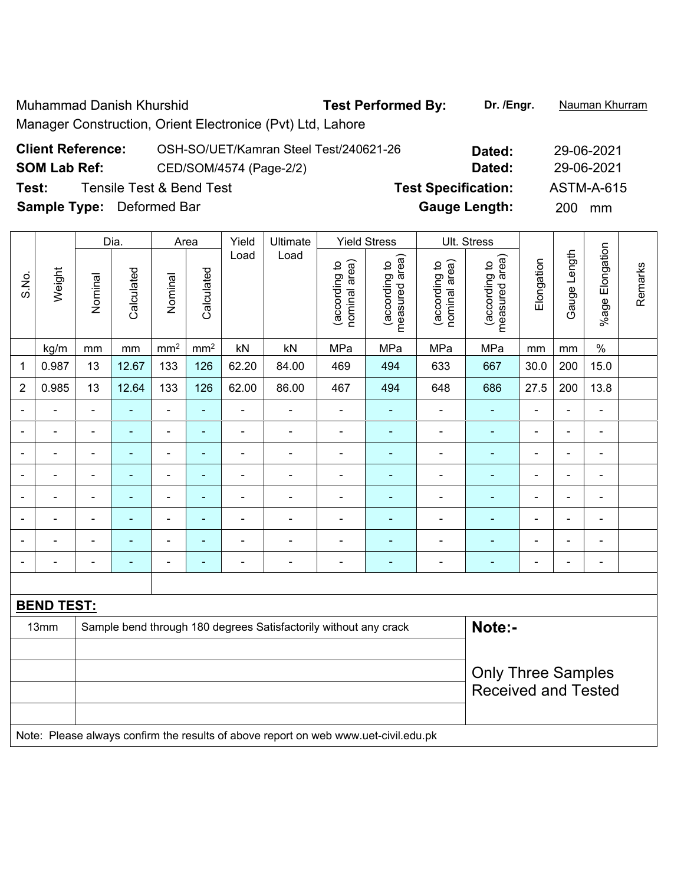Muhammad Danish Khurshid **Test Performed By: Dr. /Engr.** Nauman Khurram Manager Construction, Orient Electronice (Pvt) Ltd, Lahore

| <b>Client Reference:</b>         | OSH-SO/UET/Kamran Steel Test/240621-26 | Dated:                     | 29-06-2021       |
|----------------------------------|----------------------------------------|----------------------------|------------------|
| <b>SOM Lab Ref:</b>              | CED/SOM/4574 (Page-2/2)                | Dated:                     | 29-06-2021       |
| Test:                            | Tensile Test & Bend Test               | <b>Test Specification:</b> | ASTM-A-615       |
| <b>Sample Type:</b> Deformed Bar |                                        | <b>Gauge Length:</b>       | <b>200</b><br>mm |

|                          |                   | Dia.                     |                          |                          | Area            | Yield                                                            | Ultimate       |                                | <b>Yield Stress</b>             |                                | Ult. Stress                        |                          |                |                          |         |
|--------------------------|-------------------|--------------------------|--------------------------|--------------------------|-----------------|------------------------------------------------------------------|----------------|--------------------------------|---------------------------------|--------------------------------|------------------------------------|--------------------------|----------------|--------------------------|---------|
| S.No.                    | Weight            | Nominal                  | Calculated               | Nominal                  | Calculated      | Load                                                             | Load           | nominal area)<br>(according to | measured area)<br>(according to | nominal area)<br>(according to | area)<br>(according to<br>measured | Elongation               | Gauge Length   | %age Elongation          | Remarks |
|                          | kg/m              | mm                       | $\,mm$                   | mm <sup>2</sup>          | mm <sup>2</sup> | kN                                                               | kN             | MPa                            | MPa                             | MPa                            | MPa                                | mm                       | mm             | $\%$                     |         |
| 1                        | 0.987             | 13                       | 12.67                    | 133                      | 126             | 62.20                                                            | 84.00          | 469                            | 494                             | 633                            | 667                                | 30.0                     | 200            | 15.0                     |         |
| $\overline{2}$           | 0.985             | 13                       | 12.64                    | 133                      | 126             | 62.00                                                            | 86.00          | 467                            | 494                             | 648                            | 686                                | 27.5                     | 200            | 13.8                     |         |
|                          |                   | $\blacksquare$           |                          | $\blacksquare$           | ä,              | $\blacksquare$                                                   | $\blacksquare$ | $\blacksquare$                 | $\blacksquare$                  | $\blacksquare$                 | Ē,                                 | Ē,                       | L,             | $\blacksquare$           |         |
| $\overline{\phantom{0}}$ | ÷                 | $\blacksquare$           | $\blacksquare$           | $\blacksquare$           | ٠               | ÷,                                                               | $\blacksquare$ | $\overline{a}$                 | $\blacksquare$                  | $\overline{\phantom{a}}$       | ÷,                                 | $\overline{\phantom{a}}$ | $\blacksquare$ | $\overline{\phantom{a}}$ |         |
|                          | ÷                 | $\blacksquare$           | $\blacksquare$           | $\overline{\phantom{a}}$ | ä,              | $\blacksquare$                                                   | ÷,             | $\blacksquare$                 | $\blacksquare$                  | ÷                              | Ē,                                 | $\blacksquare$           | ä,             | $\blacksquare$           |         |
|                          |                   |                          | $\blacksquare$           | ÷                        | ä,              | $\overline{a}$                                                   | L,             | $\blacksquare$                 | -                               | $\blacksquare$                 | ٠                                  |                          | L,             | $\blacksquare$           |         |
| $\blacksquare$           | $\blacksquare$    | $\overline{\phantom{0}}$ | $\overline{\phantom{0}}$ | $\overline{\phantom{a}}$ | ۰               | $\blacksquare$                                                   | -              | $\blacksquare$                 | -                               | ۰                              | ٠                                  | $\blacksquare$           | ä,             | $\blacksquare$           |         |
|                          | ÷                 | $\blacksquare$           | $\blacksquare$           | ÷,                       | ÷,              | $\blacksquare$                                                   | $\blacksquare$ | $\blacksquare$                 | ٠                               | $\blacksquare$                 | Ē,                                 | $\blacksquare$           | ä,             | $\blacksquare$           |         |
|                          |                   | $\overline{\phantom{0}}$ | $\blacksquare$           | -                        | ۰               | $\blacksquare$                                                   | $\blacksquare$ | $\blacksquare$                 | $\blacksquare$                  | $\overline{\phantom{0}}$       | ٠                                  | ٠                        | L,             | $\blacksquare$           |         |
|                          |                   |                          |                          |                          | ۰               | $\blacksquare$                                                   | -              |                                | -                               | $\blacksquare$                 |                                    | $\overline{\phantom{0}}$ | Ē,             | $\overline{a}$           |         |
|                          |                   |                          |                          |                          |                 |                                                                  |                |                                |                                 |                                |                                    |                          |                |                          |         |
|                          | <b>BEND TEST:</b> |                          |                          |                          |                 |                                                                  |                |                                |                                 |                                |                                    |                          |                |                          |         |
|                          | 13mm              |                          |                          |                          |                 | Sample bend through 180 degrees Satisfactorily without any crack |                | Note:-                         |                                 |                                |                                    |                          |                |                          |         |
|                          |                   |                          |                          |                          |                 |                                                                  |                |                                |                                 |                                |                                    |                          |                |                          |         |
|                          |                   |                          |                          |                          |                 |                                                                  |                |                                |                                 |                                | <b>Only Three Samples</b>          |                          |                |                          |         |
|                          |                   |                          |                          |                          |                 |                                                                  |                |                                |                                 |                                | <b>Received and Tested</b>         |                          |                |                          |         |
|                          |                   |                          |                          |                          |                 |                                                                  |                |                                |                                 |                                |                                    |                          |                |                          |         |

Note: Please always confirm the results of above report on web www.uet-civil.edu.pk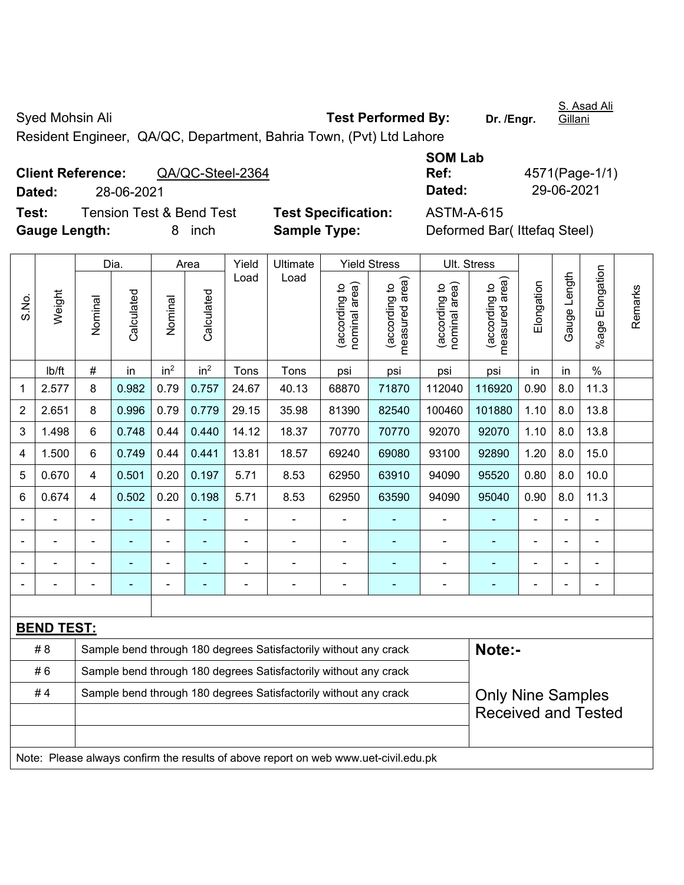Syed Mohsin Ali **Test Performed By:** Dr. /Engr. S. Asad Ali Gillani Resident Engineer, QA/QC, Department, Bahria Town, (Pvt) Ltd Lahore

|                             | <b>Client Reference:</b><br>QA/QC-Steel-2364 |                            | Ref:       | 4571(Page-1/                                                                                                                                                                                                                                                                                                                                                                         |
|-----------------------------|----------------------------------------------|----------------------------|------------|--------------------------------------------------------------------------------------------------------------------------------------------------------------------------------------------------------------------------------------------------------------------------------------------------------------------------------------------------------------------------------------|
| Dated:                      | 28-06-2021                                   |                            | Dated:     | 29-06-2021                                                                                                                                                                                                                                                                                                                                                                           |
| Test:                       | Tension Test & Bend Test                     | <b>Test Specification:</b> | ASTM-A-615 |                                                                                                                                                                                                                                                                                                                                                                                      |
| $\sim$ $\sim$ $\sim$ $\sim$ |                                              | - - -                      |            | $\overline{a}$ $\overline{b}$ $\overline{c}$ $\overline{c}$ $\overline{c}$ $\overline{c}$ $\overline{c}$ $\overline{c}$ $\overline{c}$ $\overline{c}$ $\overline{c}$ $\overline{c}$ $\overline{c}$ $\overline{c}$ $\overline{c}$ $\overline{c}$ $\overline{c}$ $\overline{c}$ $\overline{c}$ $\overline{c}$ $\overline{c}$ $\overline{c}$ $\overline{c}$ $\overline{c}$ $\overline{$ |

| 4571(Page-1/1) |
|----------------|
| 29-06-2021     |
|                |

Test Specification: <br>ASTM-A-615 **Gauge Length:** 8 inch **Sample Type:** Deformed Bar( Ittefaq Steel)

|       |                   |                | Dia.           |                              | Area            | Yield | Ultimate                                                                            |                                | <b>Yield Stress</b>             |                                | Ult. Stress                     |                |                |                 |         |
|-------|-------------------|----------------|----------------|------------------------------|-----------------|-------|-------------------------------------------------------------------------------------|--------------------------------|---------------------------------|--------------------------------|---------------------------------|----------------|----------------|-----------------|---------|
| S.No. | Weight            | Nominal        | Calculated     | Nominal                      | Calculated      | Load  | Load                                                                                | nominal area)<br>(according to | measured area)<br>(according to | nominal area)<br>(according to | measured area)<br>(according to | Elongation     | Gauge Length   | %age Elongation | Remarks |
|       | lb/ft             | $\#$           | in             | in <sup>2</sup>              | in <sup>2</sup> | Tons  | Tons                                                                                | psi                            | psi                             | psi                            | psi                             | in             | in             | $\frac{0}{0}$   |         |
| 1     | 2.577             | 8              | 0.982          | 0.79                         | 0.757           | 24.67 | 40.13                                                                               | 68870                          | 71870                           | 112040                         | 116920                          | 0.90           | 8.0            | 11.3            |         |
| 2     | 2.651             | 8              | 0.996          | 0.79                         | 0.779           | 29.15 | 35.98                                                                               | 81390                          | 82540                           | 100460                         | 101880                          | 1.10           | 8.0            | 13.8            |         |
| 3     | 1.498             | 6              | 0.748          | 0.44                         | 0.440           | 14.12 | 18.37                                                                               | 70770                          | 70770                           | 92070                          | 92070                           | 1.10           | 8.0            | 13.8            |         |
| 4     | 1.500             | 6              | 0.749          | 0.44                         | 0.441           | 13.81 | 18.57                                                                               | 69240                          | 69080                           | 93100                          | 92890                           | 1.20           | 8.0            | 15.0            |         |
| 5     | 0.670             | 4              | 0.501          | 0.20                         | 0.197           | 5.71  | 8.53                                                                                | 62950                          | 63910                           | 94090                          | 95520                           | 0.80           | 8.0            | 10.0            |         |
| 6     | 0.674             | 4              | 0.502          | 0.20                         | 0.198           | 5.71  | 8.53                                                                                | 62950                          | 63590                           | 94090                          | 95040                           | 0.90           | 8.0            | 11.3            |         |
|       |                   |                |                | ä,                           |                 |       |                                                                                     | $\blacksquare$                 |                                 |                                |                                 |                |                |                 |         |
| ۰     |                   |                | $\blacksquare$ | $\qquad \qquad \blacksquare$ | $\blacksquare$  | ÷     | $\blacksquare$                                                                      | $\blacksquare$                 | $\blacksquare$                  | ÷,                             | $\blacksquare$                  | $\blacksquare$ | $\blacksquare$ | $\blacksquare$  |         |
|       |                   | $\blacksquare$ | ÷              | $\blacksquare$               | $\blacksquare$  | ÷     | $\blacksquare$                                                                      | $\blacksquare$                 | ۰                               | $\blacksquare$                 | $\blacksquare$                  | $\blacksquare$ |                | $\blacksquare$  |         |
|       |                   | $\blacksquare$ | ÷              | $\overline{\phantom{0}}$     | ä,              | ÷     | $\blacksquare$                                                                      | $\blacksquare$                 | ÷                               | $\overline{a}$                 | ÷                               | $\blacksquare$ |                | $\blacksquare$  |         |
|       |                   |                |                |                              |                 |       |                                                                                     |                                |                                 |                                |                                 |                |                |                 |         |
|       | <b>BEND TEST:</b> |                |                |                              |                 |       |                                                                                     |                                |                                 |                                |                                 |                |                |                 |         |
|       | #8                |                |                |                              |                 |       | Sample bend through 180 degrees Satisfactorily without any crack                    |                                |                                 |                                | Note:-                          |                |                |                 |         |
|       | #6                |                |                |                              |                 |       | Sample bend through 180 degrees Satisfactorily without any crack                    |                                |                                 |                                |                                 |                |                |                 |         |
|       | #4                |                |                |                              |                 |       | Sample bend through 180 degrees Satisfactorily without any crack                    |                                |                                 |                                | <b>Only Nine Samples</b>        |                |                |                 |         |
|       |                   |                |                |                              |                 |       |                                                                                     |                                |                                 |                                | <b>Received and Tested</b>      |                |                |                 |         |
|       |                   |                |                |                              |                 |       |                                                                                     |                                |                                 |                                |                                 |                |                |                 |         |
|       |                   |                |                |                              |                 |       | Note: Please always confirm the results of above report on web www.uet-civil.edu.pk |                                |                                 |                                |                                 |                |                |                 |         |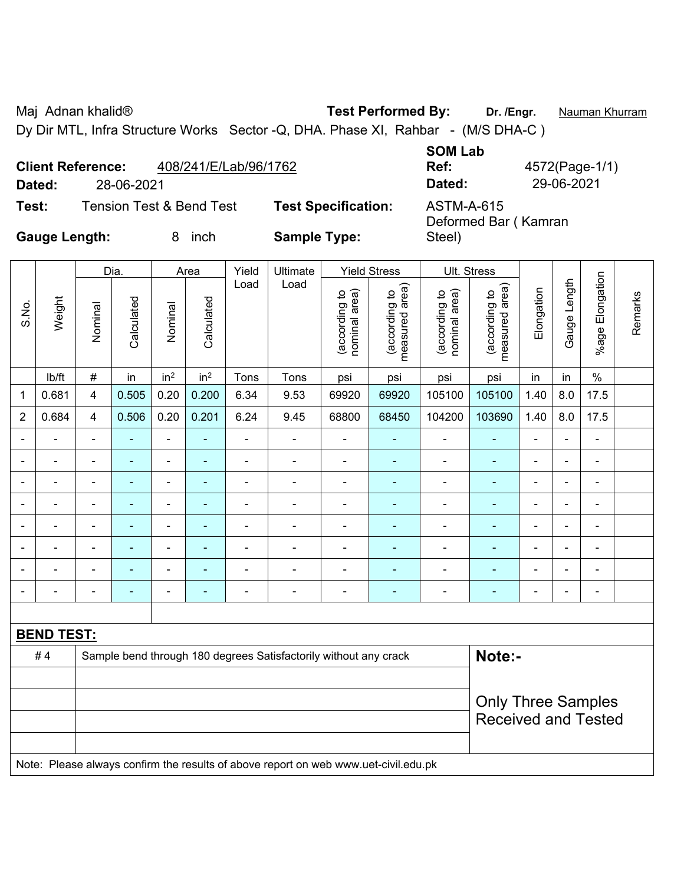Maj Adnan khalid® **Test Performed By: Dr. /Engr.** Nauman Khurram

Dy Dir MTL, Infra Structure Works Sector -Q, DHA. Phase XI, Rahbar - (M/S DHA-C)

|                      | <b>Client Reference:</b> | 408/241/E/Lab/96/1762               |                            | <b>SOM Lab</b><br>Ref:             | 4572(Page-1/1) |
|----------------------|--------------------------|-------------------------------------|----------------------------|------------------------------------|----------------|
| Dated:               | 28-06-2021               |                                     |                            | Dated:                             | 29-06-2021     |
| Test:                |                          | <b>Tension Test &amp; Bend Test</b> | <b>Test Specification:</b> | ASTM-A-615<br>Deformed Bar (Kamran |                |
| <b>Gauge Length:</b> |                          | inch                                | <b>Sample Type:</b>        | Steel)                             |                |

|                          |                   |                          | Dia.           |                                                                  | Area            | Yield          | Ultimate                 |                                | <b>Yield Stress</b>             | Ult. Stress                    |                                 |                |                          |                          | Remarks |
|--------------------------|-------------------|--------------------------|----------------|------------------------------------------------------------------|-----------------|----------------|--------------------------|--------------------------------|---------------------------------|--------------------------------|---------------------------------|----------------|--------------------------|--------------------------|---------|
| S.No.                    | Weight            | Nominal                  | Calculated     | Nominal                                                          | Calculated      | Load           | Load                     | (according to<br>nominal area) | measured area)<br>(according to | nominal area)<br>(according to | measured area)<br>(according to | Elongation     | Gauge Length             | Elongation<br>$%$ age    |         |
|                          | lb/ft             | #                        | in             | in <sup>2</sup>                                                  | in <sup>2</sup> | Tons           | Tons                     | psi                            | psi                             | psi                            | psi                             | in             | in                       | $\%$                     |         |
| 1                        | 0.681             | 4                        | 0.505          | 0.20                                                             | 0.200           | 6.34           | 9.53                     | 69920                          | 69920                           | 105100                         | 105100                          | 1.40           | 8.0                      | 17.5                     |         |
| 2                        | 0.684             | 4                        | 0.506          | 0.20                                                             | 0.201           | 6.24           | 9.45                     | 68800                          | 68450                           | 104200                         | 103690                          | 1.40           | 8.0                      | 17.5                     |         |
| $\blacksquare$           |                   | $\blacksquare$           | $\blacksquare$ | $\blacksquare$                                                   | ٠               | $\blacksquare$ | ۰                        | $\blacksquare$                 | $\blacksquare$                  | $\overline{\phantom{0}}$       | ٠                               | $\blacksquare$ |                          | $\overline{\phantom{a}}$ |         |
| $\overline{\phantom{0}}$ |                   | $\blacksquare$           | ۰              | $\blacksquare$                                                   | ۰               | $\blacksquare$ | $\blacksquare$           | $\blacksquare$                 | $\blacksquare$                  | $\blacksquare$                 | ٠                               | $\blacksquare$ |                          | $\overline{\phantom{0}}$ |         |
|                          |                   | $\blacksquare$           | $\blacksquare$ | ۰                                                                | $\blacksquare$  |                | $\blacksquare$           | $\blacksquare$                 | $\blacksquare$                  | $\overline{\phantom{0}}$       | $\blacksquare$                  | $\blacksquare$ |                          | $\overline{a}$           |         |
| $\blacksquare$           |                   | $\overline{\phantom{0}}$ | ۰              | ۰                                                                | $\blacksquare$  | $\blacksquare$ | ۰                        | $\blacksquare$                 | $\blacksquare$                  | $\overline{\phantom{0}}$       | ٠                               | $\blacksquare$ |                          | $\blacksquare$           |         |
| $\blacksquare$           |                   | $\blacksquare$           | $\blacksquare$ | ۰                                                                | ٠               | $\blacksquare$ | ۰                        | $\blacksquare$                 | $\overline{\phantom{a}}$        | $\overline{\phantom{0}}$       | $\blacksquare$                  | $\blacksquare$ | $\overline{\phantom{0}}$ | $\overline{\phantom{a}}$ |         |
|                          |                   | $\overline{\phantom{0}}$ | ۰              | ۰                                                                | ۰               |                | ۰                        | $\blacksquare$                 | $\blacksquare$                  | $\overline{\phantom{a}}$       | ۰                               | $\blacksquare$ |                          | $\blacksquare$           |         |
|                          |                   | $\blacksquare$           | ۰              | ۰                                                                | ۰               | $\blacksquare$ | ۰                        | $\blacksquare$                 | $\blacksquare$                  | $\blacksquare$                 | ۰                               | $\blacksquare$ |                          | $\blacksquare$           |         |
|                          |                   | $\overline{\phantom{0}}$ | ۰              | ۰                                                                | $\blacksquare$  | $\blacksquare$ | $\overline{\phantom{0}}$ | $\blacksquare$                 | $\overline{\phantom{a}}$        | $\overline{\phantom{0}}$       | ۰                               | $\blacksquare$ |                          | $\blacksquare$           |         |
|                          |                   |                          |                |                                                                  |                 |                |                          |                                |                                 |                                |                                 |                |                          |                          |         |
|                          | <b>BEND TEST:</b> |                          |                |                                                                  |                 |                |                          |                                |                                 |                                |                                 |                |                          |                          |         |
|                          | $H \Lambda$       |                          |                | Sample bend through 180 degrees Satisfactorily without any crack |                 |                |                          |                                |                                 |                                | $N$ $\sim$ f $\sim$             |                |                          |                          |         |

| # 4 | Sample being unbught 160 degrees Sausiactomy without any crack                      | NOLE.-                     |
|-----|-------------------------------------------------------------------------------------|----------------------------|
|     |                                                                                     |                            |
|     |                                                                                     | <b>Only Three Samples</b>  |
|     |                                                                                     | <b>Received and Tested</b> |
|     |                                                                                     |                            |
|     | Note: Please always confirm the results of above report on web www.uet-civil.edu.pk |                            |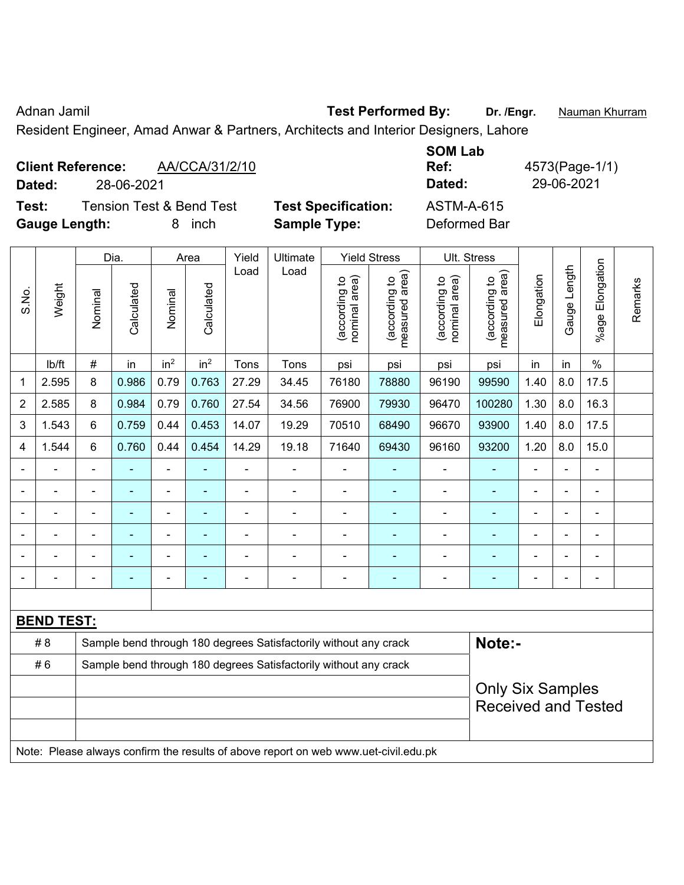Adnan Jamil **Adnan Jamil 1998 Test Performed By:** Dr. /Engr. **Nauman Khurram** 

Resident Engineer, Amad Anwar & Partners, Architects and Interior Designers, Lahore

| <b>Client Reference:</b><br>Dated: | 28-06-2021 | AA/CCA/31/2/10                      |                            | <b>SOM Lab</b><br>Ref:<br>Dated: | 4573(Page-1/1)<br>29-06-2021 |
|------------------------------------|------------|-------------------------------------|----------------------------|----------------------------------|------------------------------|
| Test:                              |            | <b>Tension Test &amp; Bend Test</b> | <b>Test Specification:</b> | ASTM-A-615                       |                              |
| <b>Gauge Length:</b>               |            | inch                                | <b>Sample Type:</b>        | Deformed Bar                     |                              |

|                |                   |                                                                  | Dia.           |                 | Area            | Yield          | Ultimate                                                                            |                                | <b>Yield Stress</b>             |                                | Ult. Stress                                 |                          |                |                       |         |
|----------------|-------------------|------------------------------------------------------------------|----------------|-----------------|-----------------|----------------|-------------------------------------------------------------------------------------|--------------------------------|---------------------------------|--------------------------------|---------------------------------------------|--------------------------|----------------|-----------------------|---------|
| S.No.          | Weight            | Nominal                                                          | Calculated     | Nominal         | Calculated      | Load           | Load                                                                                | nominal area)<br>(according to | measured area)<br>(according to | nominal area)<br>(according to | (according to<br>measured area)<br>measured | Elongation               | Gauge Length   | Elongation<br>$%$ age | Remarks |
|                | lb/ft             | $\#$                                                             | in             | in <sup>2</sup> | in <sup>2</sup> | Tons           | Tons                                                                                | psi                            | psi                             | psi                            | psi                                         | in                       | in             | $\%$                  |         |
| 1              | 2.595             | 8                                                                | 0.986          | 0.79            | 0.763           | 27.29          | 34.45                                                                               | 76180                          | 78880                           | 96190                          | 99590                                       | 1.40                     | 8.0            | 17.5                  |         |
| $\overline{2}$ | 2.585             | 8                                                                | 0.984          | 0.79            | 0.760           | 27.54          | 34.56                                                                               | 76900                          | 79930                           | 96470                          | 100280                                      | 1.30                     | 8.0            | 16.3                  |         |
| 3              | 1.543             | $6\phantom{1}$                                                   | 0.759          | 0.44            | 0.453           | 14.07          | 19.29                                                                               | 70510                          | 68490                           | 96670                          | 93900                                       | 1.40                     | 8.0            | 17.5                  |         |
| 4              | 1.544             | 6                                                                | 0.760          | 0.44            | 0.454           | 14.29          | 19.18                                                                               | 71640                          | 69430                           | 96160                          | 93200                                       | 1.20                     | 8.0            | 15.0                  |         |
| $\blacksquare$ | $\blacksquare$    | ä,                                                               | $\blacksquare$ | ä,              | ä,              | $\blacksquare$ | $\overline{\phantom{a}}$                                                            | $\blacksquare$                 |                                 | $\blacksquare$                 | ÷,                                          | $\blacksquare$           | $\overline{a}$ | $\blacksquare$        |         |
|                |                   |                                                                  | $\blacksquare$ | ä,              | ۰               | $\blacksquare$ | $\blacksquare$                                                                      | $\blacksquare$                 |                                 |                                | $\blacksquare$                              |                          |                | $\blacksquare$        |         |
|                |                   |                                                                  | $\blacksquare$ |                 |                 | $\blacksquare$ | $\blacksquare$                                                                      | $\blacksquare$                 |                                 | $\overline{\phantom{0}}$       | $\blacksquare$                              | $\blacksquare$           |                | $\blacksquare$        |         |
|                |                   |                                                                  |                |                 |                 |                |                                                                                     |                                |                                 |                                |                                             |                          |                |                       |         |
| $\blacksquare$ |                   | $\blacksquare$                                                   |                |                 | ۰               |                | $\blacksquare$                                                                      | $\blacksquare$                 |                                 | $\blacksquare$                 |                                             |                          |                | $\blacksquare$        |         |
| $\blacksquare$ |                   | $\blacksquare$                                                   | -              | ä,              | ۰               | $\blacksquare$ | $\blacksquare$                                                                      | $\blacksquare$                 | $\blacksquare$                  | $\blacksquare$                 | ٠                                           | $\overline{\phantom{0}}$ |                | $\blacksquare$        |         |
|                |                   |                                                                  |                |                 |                 |                |                                                                                     |                                |                                 |                                |                                             |                          |                |                       |         |
|                | <b>BEND TEST:</b> |                                                                  |                |                 |                 |                |                                                                                     |                                |                                 |                                |                                             |                          |                |                       |         |
|                | # 8               |                                                                  |                |                 |                 |                | Sample bend through 180 degrees Satisfactorily without any crack                    |                                |                                 |                                | Note:-                                      |                          |                |                       |         |
|                | #6                | Sample bend through 180 degrees Satisfactorily without any crack |                |                 |                 |                |                                                                                     |                                |                                 |                                |                                             |                          |                |                       |         |
|                |                   | <b>Only Six Samples</b><br><b>Received and Tested</b>            |                |                 |                 |                |                                                                                     |                                |                                 |                                |                                             |                          |                |                       |         |
|                |                   |                                                                  |                |                 |                 |                | Note: Please always confirm the results of above report on web www.uet-civil.edu.pk |                                |                                 |                                |                                             |                          |                |                       |         |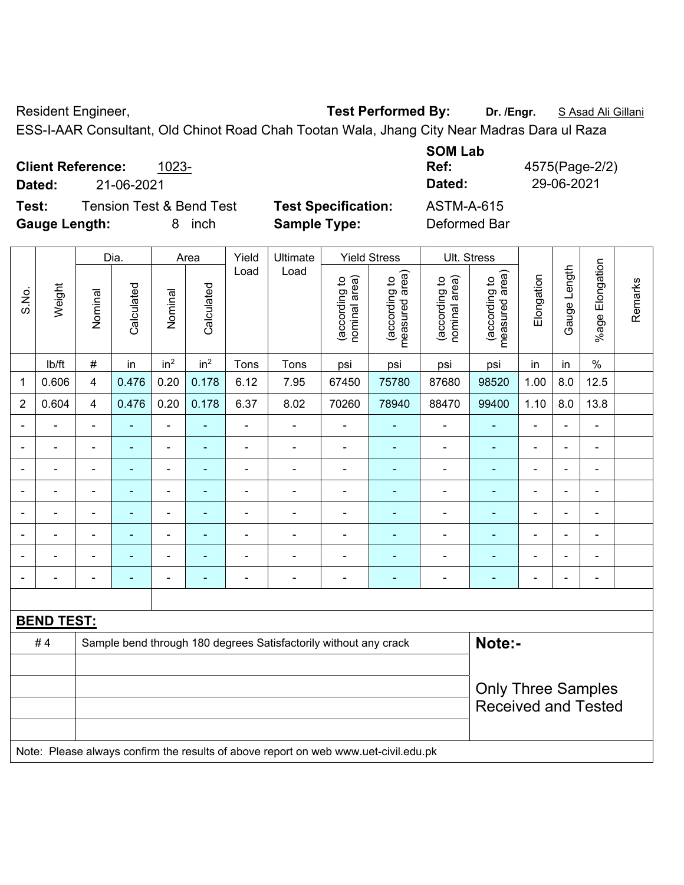Resident Engineer, **Test Performed By:** Dr. /Engr. **SAsad Ali Gillani** Resident Engineer,

ESS-I-AAR Consultant, Old Chinot Road Chah Tootan Wala, Jhang City Near Madras Dara ul Raza

| <b>Client Reference:</b><br>1023-<br>21-06-2021<br>Dated: |                            | <b>SOM Lab</b><br>Ref:<br>Dated: | 4575(Page-2/2)<br>29-06-2021 |
|-----------------------------------------------------------|----------------------------|----------------------------------|------------------------------|
| <b>Tension Test &amp; Bend Test</b><br>Test:              | <b>Test Specification:</b> | ASTM-A-615                       |                              |
| <b>Gauge Length:</b><br>inch<br>8.                        | <b>Sample Type:</b>        | Deformed Bar                     |                              |

|                |                                                                                     |                | Dia.           |                              | Area            | Yield                    | Ultimate                                                         |                                | <b>Yield Stress</b>             |                                                         | <b>Ult. Stress</b>              |                |                |                       |         |
|----------------|-------------------------------------------------------------------------------------|----------------|----------------|------------------------------|-----------------|--------------------------|------------------------------------------------------------------|--------------------------------|---------------------------------|---------------------------------------------------------|---------------------------------|----------------|----------------|-----------------------|---------|
| S.No.          | Weight                                                                              | Nominal        | Calculated     | Nominal                      | Calculated      | Load                     | Load                                                             | nominal area)<br>(according to | measured area)<br>(according to | nominal area)<br>(according to                          | (according to<br>measured area) | Elongation     | Gauge Length   | Elongation<br>$%$ age | Remarks |
|                | lb/ft                                                                               | $\#$           | in             | in <sup>2</sup>              | in <sup>2</sup> | Tons                     | Tons                                                             | psi                            | psi                             | psi                                                     | psi                             | in             | in             | $\%$                  |         |
| 1              | 0.606                                                                               | $\overline{4}$ | 0.476          | 0.20                         | 0.178           | 6.12                     | 7.95                                                             | 67450                          | 75780                           | 87680                                                   | 98520                           | 1.00           | 8.0            | 12.5                  |         |
| $\overline{2}$ | 0.604                                                                               | $\overline{4}$ | 0.476          | 0.20                         | 0.178           | 6.37                     | 8.02                                                             | 70260                          | 78940                           | 88470                                                   | 99400                           | 1.10           | 8.0            | 13.8                  |         |
| $\blacksquare$ | $\blacksquare$                                                                      | $\blacksquare$ | $\blacksquare$ | ÷,                           |                 | $\blacksquare$           | $\blacksquare$                                                   | ä,                             | $\blacksquare$                  | $\blacksquare$                                          | $\blacksquare$                  | $\blacksquare$ | $\blacksquare$ | $\blacksquare$        |         |
|                | $\blacksquare$                                                                      | ä,             | $\blacksquare$ | $\qquad \qquad \blacksquare$ |                 | $\overline{\phantom{a}}$ | ÷                                                                | $\blacksquare$                 |                                 | $\overline{\phantom{a}}$                                | $\blacksquare$                  | $\blacksquare$ |                | $\blacksquare$        |         |
|                | $\blacksquare$                                                                      | $\blacksquare$ | $\blacksquare$ | ÷,                           | $\blacksquare$  | $\blacksquare$           | ä,                                                               | $\blacksquare$                 | $\blacksquare$                  | $\blacksquare$                                          | $\blacksquare$                  | $\blacksquare$ |                | $\blacksquare$        |         |
|                |                                                                                     |                | $\blacksquare$ | ÷                            |                 | $\blacksquare$           | Ē,                                                               | $\blacksquare$                 |                                 | ×,                                                      | Ē,                              | ä,             |                | $\blacksquare$        |         |
|                |                                                                                     |                |                | ۰                            |                 |                          |                                                                  |                                |                                 | ۰                                                       |                                 | $\blacksquare$ |                |                       |         |
|                |                                                                                     |                | $\blacksquare$ | $\blacksquare$               |                 | Ē,                       |                                                                  |                                |                                 | ä,                                                      |                                 | $\blacksquare$ |                | $\blacksquare$        |         |
|                |                                                                                     |                | $\blacksquare$ | $\blacksquare$               |                 |                          |                                                                  | $\blacksquare$                 | ä,                              | ä,                                                      |                                 | ä,             |                | $\blacksquare$        |         |
|                |                                                                                     | $\blacksquare$ | ٠              | ÷                            | $\blacksquare$  | $\blacksquare$           | $\blacksquare$                                                   | $\blacksquare$                 | $\blacksquare$                  | $\overline{\phantom{a}}$                                | $\blacksquare$                  | $\blacksquare$ |                | $\blacksquare$        |         |
|                |                                                                                     |                |                |                              |                 |                          |                                                                  |                                |                                 |                                                         |                                 |                |                |                       |         |
|                | <b>BEND TEST:</b>                                                                   |                |                |                              |                 |                          |                                                                  |                                |                                 |                                                         |                                 |                |                |                       |         |
|                | #4                                                                                  |                |                |                              |                 |                          | Sample bend through 180 degrees Satisfactorily without any crack |                                |                                 |                                                         | Note:-                          |                |                |                       |         |
|                |                                                                                     |                |                |                              |                 |                          |                                                                  |                                |                                 |                                                         |                                 |                |                |                       |         |
|                |                                                                                     |                |                |                              |                 |                          |                                                                  |                                |                                 | <b>Only Three Samples</b><br><b>Received and Tested</b> |                                 |                |                |                       |         |
|                | Note: Please always confirm the results of above report on web www.uet-civil.edu.pk |                |                |                              |                 |                          |                                                                  |                                |                                 |                                                         |                                 |                |                |                       |         |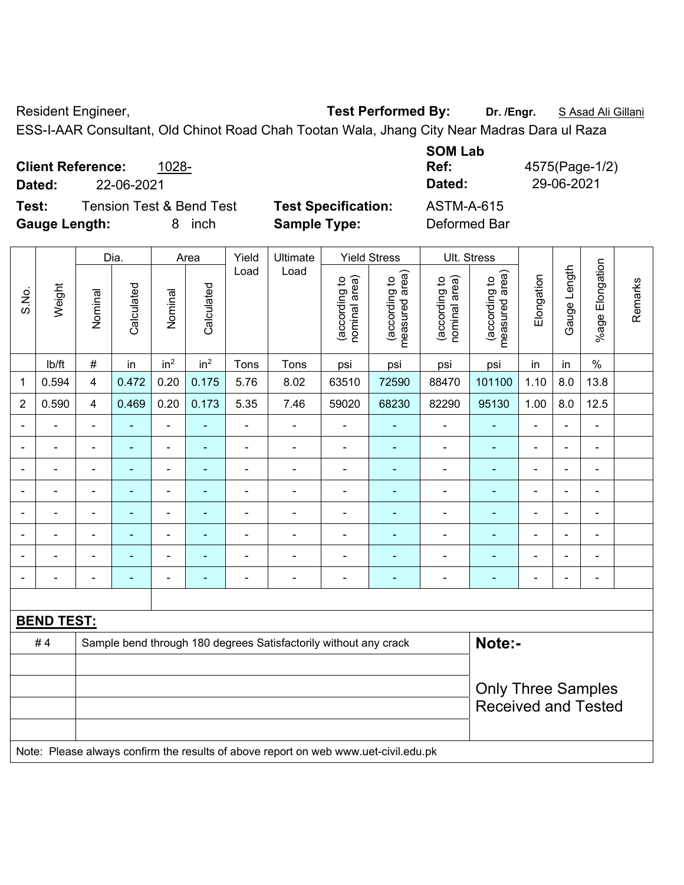Resident Engineer, **Test Performed By:** Dr. /Engr. **SAsad Ali Gillani** Collection And Test Performed By:

ESS-I-AAR Consultant, Old Chinot Road Chah Tootan Wala, Jhang City Near Madras Dara ul Raza

|                          |            |                                     |                            | <b>SUM LAD</b>    |                |
|--------------------------|------------|-------------------------------------|----------------------------|-------------------|----------------|
| <b>Client Reference:</b> |            | 1028-                               |                            | Ref:              | 4575(Page-1/2) |
| Dated:                   | 22-06-2021 |                                     |                            | Dated:            | 29-06-2021     |
| Test:                    |            | <b>Tension Test &amp; Bend Test</b> | <b>Test Specification:</b> | <b>ASTM-A-615</b> |                |
| <b>Gauge Length:</b>     |            | inch<br>8.                          | <b>Sample Type:</b>        | Deformed Bar      |                |

|                          |                   | Dia.                    |                | Area            | Yield           | Ultimate       |                                                                                     | <b>Yield Stress</b>            |                                 | Ult. Stress                    |                                 |                |                |                       |         |
|--------------------------|-------------------|-------------------------|----------------|-----------------|-----------------|----------------|-------------------------------------------------------------------------------------|--------------------------------|---------------------------------|--------------------------------|---------------------------------|----------------|----------------|-----------------------|---------|
| S.No.                    | Weight            | Nominal                 | Calculated     | Nominal         | Calculated      | Load           | Load                                                                                | nominal area)<br>(according to | measured area)<br>(according to | nominal area)<br>(according to | (according to<br>measured area) | Elongation     | Gauge Length   | Elongation<br>$%$ age | Remarks |
|                          | lb/ft             | $\#$                    | in             | in <sup>2</sup> | in <sup>2</sup> | Tons           | Tons                                                                                | psi                            | psi                             | psi                            | psi                             | in             | in             | $\%$                  |         |
| 1                        | 0.594             | $\overline{\mathbf{4}}$ | 0.472          | 0.20            | 0.175           | 5.76           | 8.02                                                                                | 63510                          | 72590                           | 88470                          | 101100                          | 1.10           | 8.0            | 13.8                  |         |
| $\overline{2}$           | 0.590             | 4                       | 0.469          | 0.20            | 0.173           | 5.35           | 7.46                                                                                | 59020                          | 68230                           | 82290                          | 95130                           | 1.00           | 8.0            | 12.5                  |         |
| ä,                       | ä,                | ä,                      | ä,             | ÷,              |                 | $\blacksquare$ | ÷,                                                                                  | ÷,                             | ÷                               | ÷,                             | $\blacksquare$                  | $\blacksquare$ | $\blacksquare$ | $\blacksquare$        |         |
|                          | $\blacksquare$    | $\blacksquare$          | ۰              | $\blacksquare$  | ٠               | $\blacksquare$ | $\blacksquare$                                                                      | ä,                             | ٠                               | $\blacksquare$                 | $\blacksquare$                  | $\blacksquare$ | $\blacksquare$ | $\blacksquare$        |         |
|                          | ÷                 | $\blacksquare$          | ٠              | ÷,              | ÷               | $\blacksquare$ | ÷                                                                                   | $\blacksquare$                 | ٠                               | $\blacksquare$                 | $\blacksquare$                  | $\blacksquare$ |                | $\blacksquare$        |         |
|                          | $\blacksquare$    | $\blacksquare$          | $\blacksquare$ | $\blacksquare$  | $\blacksquare$  | $\blacksquare$ | $\blacksquare$                                                                      | $\blacksquare$                 | $\blacksquare$                  | $\overline{\phantom{a}}$       | $\blacksquare$                  | ÷              |                | $\blacksquare$        |         |
|                          |                   |                         | ۰              | $\blacksquare$  |                 | Ē,             | Ē,                                                                                  | $\blacksquare$                 |                                 | $\blacksquare$                 | $\blacksquare$                  | ÷              |                | $\blacksquare$        |         |
|                          |                   |                         |                |                 |                 |                |                                                                                     |                                |                                 |                                |                                 |                |                | ÷                     |         |
|                          |                   |                         |                | $\blacksquare$  |                 |                |                                                                                     | $\blacksquare$                 |                                 | $\blacksquare$                 | $\blacksquare$                  | ۳              |                | $\blacksquare$        |         |
| $\overline{\phantom{a}}$ |                   | $\blacksquare$          | ÷              | $\blacksquare$  | ۰               | $\blacksquare$ | Ē,                                                                                  | $\blacksquare$                 | $\blacksquare$                  | ÷                              | $\blacksquare$                  | $\blacksquare$ |                | $\blacksquare$        |         |
|                          |                   |                         |                |                 |                 |                |                                                                                     |                                |                                 |                                |                                 |                |                |                       |         |
|                          | <b>BEND TEST:</b> |                         |                |                 |                 |                |                                                                                     |                                |                                 |                                |                                 |                |                |                       |         |
|                          | #4                |                         |                |                 |                 |                | Sample bend through 180 degrees Satisfactorily without any crack                    |                                |                                 |                                | Note:-                          |                |                |                       |         |
|                          |                   |                         |                |                 |                 |                |                                                                                     |                                |                                 |                                |                                 |                |                |                       |         |
|                          |                   |                         |                |                 |                 |                |                                                                                     |                                |                                 |                                | <b>Only Three Samples</b>       |                |                |                       |         |
|                          |                   |                         |                |                 |                 |                |                                                                                     |                                |                                 |                                | <b>Received and Tested</b>      |                |                |                       |         |
|                          |                   |                         |                |                 |                 |                |                                                                                     |                                |                                 |                                |                                 |                |                |                       |         |
|                          |                   |                         |                |                 |                 |                | Note: Please always confirm the results of above report on web www.uet-civil.edu.pk |                                |                                 |                                |                                 |                |                |                       |         |

**SOM Lab**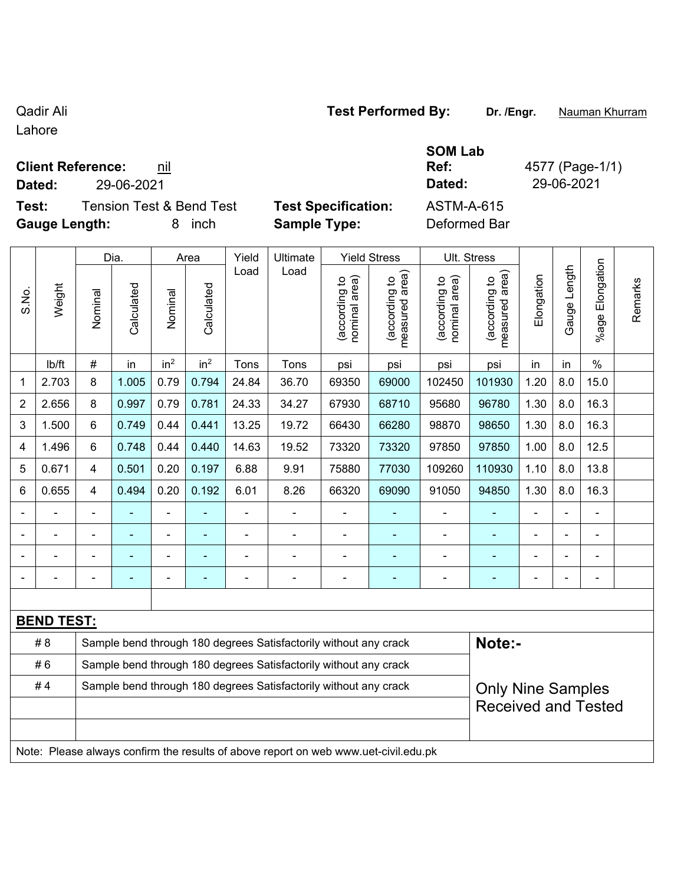Lahore

## **Client Reference: nil**

**Dated:** 29-06-2021 **Dated:** 29-06-2021

**Test:** Tension Test & Bend Test **Test Specification:** ASTM-A-615 **Gauge Length:** 8 inch **Sample Type:** Deformed Bar

Dia. | Area | Yield | Ultimate | Yield Stress | Ult. Stress

| cation: | ASTI |
|---------|------|
|         |      |

**Ref:** 4577 (Page-1/1)

|                |                   |                | Dia.       |                                                                  | Area            | Yield | Ultimate |                               | Yield Stress                                |                                | UII. Stress                        |            |                          |                       |  |
|----------------|-------------------|----------------|------------|------------------------------------------------------------------|-----------------|-------|----------|-------------------------------|---------------------------------------------|--------------------------------|------------------------------------|------------|--------------------------|-----------------------|--|
| S.No.          | Weight            | Nominal        | Calculated | Nominal                                                          | Calculated      | Load  | Load     | nominal area)<br>decording to | (according to<br>measured area)<br>measured | (according to<br>nominal area) | area)<br>(according to<br>measured | Elongation | Length<br>Gauge          | Elongation<br>$%$ age |  |
|                | lb/ft             | #              | in         | in <sup>2</sup>                                                  | in <sup>2</sup> | Tons  | Tons     | psi                           | psi                                         | psi                            | psi                                | in         | in                       | $\%$                  |  |
| 1              | 2.703             | 8              | 1.005      | 0.79                                                             | 0.794           | 24.84 | 36.70    | 69350                         | 69000                                       | 102450                         | 101930                             | 1.20       | 8.0                      | 15.0                  |  |
| $\overline{2}$ | 2.656             | 8              | 0.997      | 0.79                                                             | 0.781           | 24.33 | 34.27    | 67930                         | 68710                                       | 95680                          | 96780                              | 1.30       | 8.0                      | 16.3                  |  |
| $\mathbf{3}$   | 1.500             | 6              | 0.749      | 0.44                                                             | 0.441           | 13.25 | 19.72    | 66430                         | 66280                                       | 98870                          | 98650                              | 1.30       | 8.0                      | 16.3                  |  |
| 4              | 1.496             | 6              | 0.748      | 0.44                                                             | 0.440           | 14.63 | 19.52    | 73320                         | 73320                                       | 97850                          | 97850                              | 1.00       | 8.0                      | 12.5                  |  |
| 5              | 0.671             | $\overline{4}$ | 0.501      | 0.20                                                             | 0.197           | 6.88  | 9.91     | 75880                         | 77030                                       | 109260                         | 110930                             | 1.10       | 8.0                      | 13.8                  |  |
| $\,6$          | 0.655             | 4              | 0.494      | 0.20                                                             | 0.192           | 6.01  | 8.26     | 66320                         | 69090                                       | 91050                          | 94850                              | 1.30       | 8.0                      | 16.3                  |  |
|                |                   |                | ۰          |                                                                  | ۰               |       |          |                               |                                             | $\qquad \qquad \blacksquare$   | ۰                                  |            |                          | ۰                     |  |
|                |                   |                | ٠          | $\blacksquare$                                                   | $\blacksquare$  |       |          | $\blacksquare$                |                                             | -                              | $\blacksquare$                     |            | $\blacksquare$           | $\overline{a}$        |  |
|                |                   | -              |            | ۰                                                                | $\blacksquare$  |       |          |                               |                                             | -                              | $\blacksquare$                     |            | $\overline{\phantom{a}}$ | ۰                     |  |
|                |                   |                |            |                                                                  |                 |       |          |                               |                                             | ۰                              | ٠                                  | -          |                          |                       |  |
|                |                   |                |            |                                                                  |                 |       |          |                               |                                             |                                |                                    |            |                          |                       |  |
|                | <b>BEND TEST:</b> |                |            |                                                                  |                 |       |          |                               |                                             |                                |                                    |            |                          |                       |  |
|                | # 8               |                |            | Sample bend through 180 degrees Satisfactorily without any crack |                 |       |          |                               |                                             |                                | Note:-                             |            |                          |                       |  |

|    |                                                                                     | .                          |  |  |  |  |  |  |  |  |  |
|----|-------------------------------------------------------------------------------------|----------------------------|--|--|--|--|--|--|--|--|--|
| #6 | Sample bend through 180 degrees Satisfactorily without any crack                    |                            |  |  |  |  |  |  |  |  |  |
| #4 | Sample bend through 180 degrees Satisfactorily without any crack                    | <b>Only Nine Samples</b>   |  |  |  |  |  |  |  |  |  |
|    |                                                                                     | <b>Received and Tested</b> |  |  |  |  |  |  |  |  |  |
|    |                                                                                     |                            |  |  |  |  |  |  |  |  |  |
|    | Note: Please always confirm the results of above report on web www.uet-civil.edu.pk |                            |  |  |  |  |  |  |  |  |  |

Qadir Ali **Test Performed By:** Dr. /Engr. **Nauman Khurram** 

**SOM Lab** 

Remarks

Remarks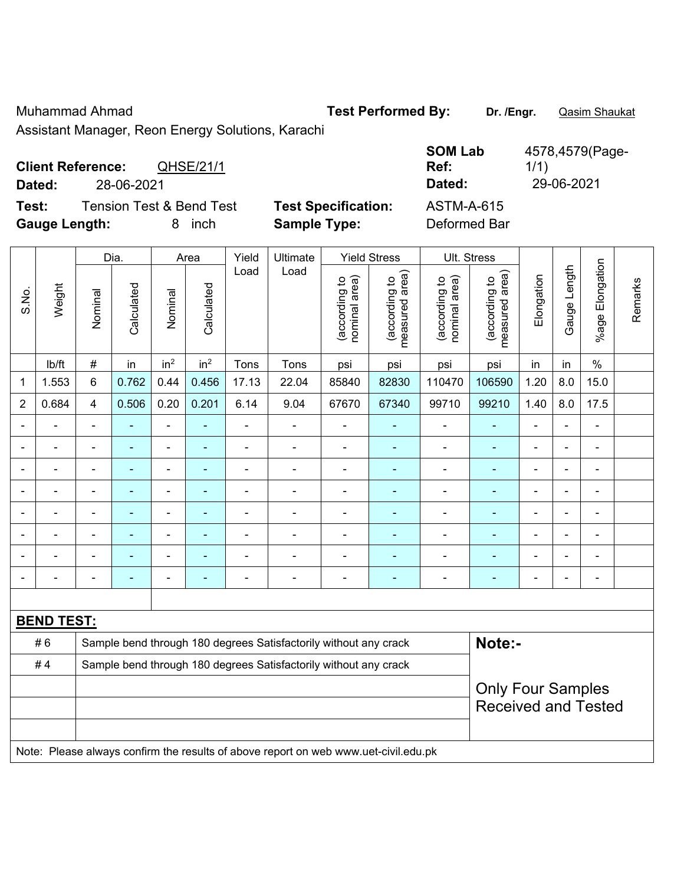## Muhammad Ahmad **Test Performed By: Dr. /Engr.** Qasim Shaukat

Assistant Manager, Reon Energy Solutions, Karachi

| <b>Client Reference:</b><br>QHSE/21/1        |                            | <b>SOM Lab</b><br>Ref: | 4578,4579(Page-<br>1/1) |
|----------------------------------------------|----------------------------|------------------------|-------------------------|
| 28-06-2021<br><b>Dated:</b>                  |                            | Dated:                 | 29-06-2021              |
| <b>Tension Test &amp; Bend Test</b><br>Test: | <b>Test Specification:</b> | <b>ASTM-A-615</b>      |                         |
| <b>Gauge Length:</b><br>inch                 | <b>Sample Type:</b>        | Deformed Bar           |                         |

|                |                                                                                     | Dia.<br>Area   |                                                                  |                 |                 |                          |                                                                  |                                |                                 |                                |                                             |                |                |                 |         |  |
|----------------|-------------------------------------------------------------------------------------|----------------|------------------------------------------------------------------|-----------------|-----------------|--------------------------|------------------------------------------------------------------|--------------------------------|---------------------------------|--------------------------------|---------------------------------------------|----------------|----------------|-----------------|---------|--|
|                |                                                                                     |                |                                                                  |                 |                 | Yield<br>Load            | Ultimate<br>Load                                                 |                                | <b>Yield Stress</b>             |                                | Ult. Stress                                 |                |                |                 |         |  |
| S.No.          | Weight                                                                              | Nominal        | Calculated                                                       | Nominal         | Calculated      |                          |                                                                  | nominal area)<br>(according to | (according to<br>measured area) | nominal area)<br>(according to | (according to<br>measured area)<br>measured | Elongation     | Gauge Length   | %age Elongation | Remarks |  |
|                | lb/ft                                                                               | $\#$           | in                                                               | in <sup>2</sup> | in <sup>2</sup> | Tons                     | Tons                                                             | psi                            | psi                             | psi                            | psi                                         | in             | in             | $\%$            |         |  |
| 1              | 1.553                                                                               | 6              | 0.762                                                            | 0.44            | 0.456           | 17.13                    | 22.04                                                            | 85840                          | 82830                           | 110470                         | 106590                                      | 1.20           | 8.0            | 15.0            |         |  |
| $\overline{2}$ | 0.684                                                                               | 4              | 0.506                                                            | 0.20            | 0.201           | 6.14                     | 9.04                                                             | 67670                          | 67340                           | 99710                          | 99210                                       | 1.40           | 8.0            | 17.5            |         |  |
| $\blacksquare$ | $\blacksquare$                                                                      | $\blacksquare$ | ÷,                                                               | $\blacksquare$  |                 | $\overline{\phantom{a}}$ | $\blacksquare$                                                   | $\blacksquare$                 | $\blacksquare$                  | $\blacksquare$                 | $\blacksquare$                              | L,             | ÷.             | $\blacksquare$  |         |  |
| ٠              | $\overline{a}$                                                                      | $\blacksquare$ | ۰                                                                | $\blacksquare$  | ٠               | $\blacksquare$           | $\blacksquare$                                                   | $\overline{a}$                 | $\overline{\phantom{0}}$        | $\blacksquare$                 | $\blacksquare$                              | $\blacksquare$ | ۰              | $\blacksquare$  |         |  |
|                | $\blacksquare$                                                                      | L,             | $\blacksquare$                                                   | $\blacksquare$  | $\blacksquare$  | $\blacksquare$           | ä,                                                               | $\blacksquare$                 | ä,                              | $\blacksquare$                 | $\blacksquare$                              | ä,             |                | $\blacksquare$  |         |  |
|                | $\blacksquare$                                                                      | $\blacksquare$ | ÷,                                                               | $\blacksquare$  | ٠               | $\blacksquare$           | ÷                                                                | $\blacksquare$                 | ٠                               | $\blacksquare$                 | $\blacksquare$                              | L.             |                | $\blacksquare$  |         |  |
|                | $\blacksquare$                                                                      |                | ÷,                                                               | $\blacksquare$  |                 | Ē,                       | Ē,                                                               | $\blacksquare$                 |                                 | $\blacksquare$                 | $\blacksquare$                              | L,             |                | $\blacksquare$  |         |  |
|                | $\blacksquare$                                                                      |                |                                                                  | $\blacksquare$  |                 |                          |                                                                  | $\blacksquare$                 |                                 |                                |                                             |                |                | $\blacksquare$  |         |  |
|                |                                                                                     |                |                                                                  | $\blacksquare$  |                 |                          |                                                                  | Ē,                             |                                 |                                |                                             |                |                | $\blacksquare$  |         |  |
| $\blacksquare$ | $\blacksquare$                                                                      | ä,             |                                                                  | $\blacksquare$  |                 | Ē,                       | $\overline{\phantom{0}}$                                         | $\blacksquare$                 | ٠                               | $\blacksquare$                 | ۰                                           | Ē,             | $\blacksquare$ | $\blacksquare$  |         |  |
|                |                                                                                     |                |                                                                  |                 |                 |                          |                                                                  |                                |                                 |                                |                                             |                |                |                 |         |  |
|                | <b>BEND TEST:</b>                                                                   |                |                                                                  |                 |                 |                          |                                                                  |                                |                                 |                                |                                             |                |                |                 |         |  |
|                | #6                                                                                  |                |                                                                  |                 |                 |                          | Sample bend through 180 degrees Satisfactorily without any crack |                                |                                 |                                | Note:-                                      |                |                |                 |         |  |
|                | #4                                                                                  |                | Sample bend through 180 degrees Satisfactorily without any crack |                 |                 |                          |                                                                  |                                |                                 |                                |                                             |                |                |                 |         |  |
|                |                                                                                     |                |                                                                  |                 |                 |                          |                                                                  |                                |                                 |                                | <b>Only Four Samples</b>                    |                |                |                 |         |  |
|                |                                                                                     |                |                                                                  |                 |                 |                          |                                                                  |                                |                                 |                                | <b>Received and Tested</b>                  |                |                |                 |         |  |
|                |                                                                                     |                |                                                                  |                 |                 |                          |                                                                  |                                |                                 |                                |                                             |                |                |                 |         |  |
|                | Note: Please always confirm the results of above report on web www.uet-civil.edu.pk |                |                                                                  |                 |                 |                          |                                                                  |                                |                                 |                                |                                             |                |                |                 |         |  |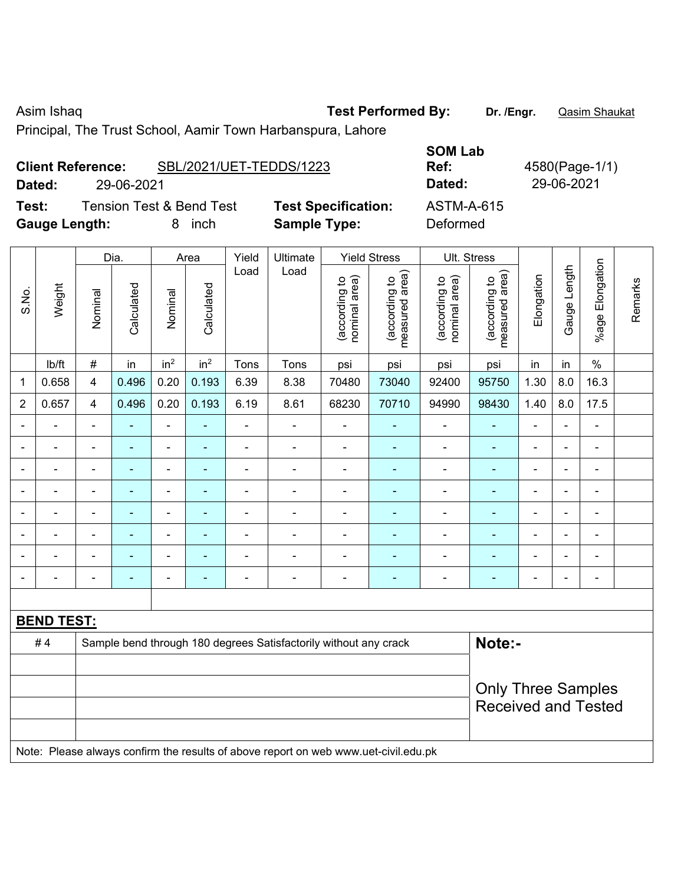Asim Ishaq **Test Performed By:** Dr. /Engr. **Qasim Shaukat** 

Principal, The Trust School, Aamir Town Harbanspura, Lahore

|        | SBL/2021/UET-TEDDS/1223<br><b>Client Reference:</b> |                            | -------<br>Ref: | 4580(Page-1/ |
|--------|-----------------------------------------------------|----------------------------|-----------------|--------------|
| Dated: | 29-06-2021                                          |                            | Dated:          | 29-06-2021   |
| Test:  | <b>Tension Test &amp; Bend Test</b>                 | <b>Test Specification:</b> | ASTM-A-615      |              |

**Gauge Length:** 8 inch **Sample Type:** Deformed

| <b>SOM Lab</b> |     |
|----------------|-----|
| Ref:           | 458 |
| Dated:         | 29  |
| ASTM-A-615     |     |
| Deformed       |     |

**Ref:** 4580(Page-1/1)

|                          |                   |                          | Dia.                                                             |                          | Area            | Yield          | Ultimate       |                                | <b>Yield Stress</b>             |                                | <b>Ult. Stress</b>              |                |                |                              |         |
|--------------------------|-------------------|--------------------------|------------------------------------------------------------------|--------------------------|-----------------|----------------|----------------|--------------------------------|---------------------------------|--------------------------------|---------------------------------|----------------|----------------|------------------------------|---------|
| S.No.                    | Weight            | Nominal                  | Calculated                                                       | Nominal                  | Calculated      | Load           | Load           | nominal area)<br>(according to | measured area)<br>(according to | nominal area)<br>(according to | (according to<br>measured area) | Elongation     | Gauge Length   | %age Elongation              | Remarks |
|                          | Ib/ft             | $\#$                     | in                                                               | in <sup>2</sup>          | in <sup>2</sup> | Tons           | Tons           | psi                            | psi                             | psi                            | psi                             | in             | in             | $\%$                         |         |
| 1                        | 0.658             | 4                        | 0.496                                                            | 0.20                     | 0.193           | 6.39           | 8.38           | 70480                          | 73040                           | 92400                          | 95750                           | 1.30           | 8.0            | 16.3                         |         |
| $\overline{2}$           | 0.657             | 4                        | 0.496                                                            | 0.20                     | 0.193           | 6.19           | 8.61           | 68230                          | 70710                           | 94990                          | 98430                           | 1.40           | 8.0            | 17.5                         |         |
|                          |                   | $\overline{\phantom{a}}$ | $\blacksquare$                                                   | $\blacksquare$           | ۰               | ä,             | ä,             | $\blacksquare$                 |                                 | ä,                             | $\blacksquare$                  | $\blacksquare$ |                | $\qquad \qquad \blacksquare$ |         |
|                          |                   |                          | ٠                                                                | ۰                        |                 | ۰              | $\blacksquare$ | $\overline{a}$                 |                                 | ۰                              | ٠                               |                |                | $\overline{a}$               |         |
| $\blacksquare$           |                   | $\blacksquare$           | $\blacksquare$                                                   | $\blacksquare$           | $\blacksquare$  | $\overline{a}$ | $\blacksquare$ | $\blacksquare$                 | $\blacksquare$                  | $\overline{a}$                 | $\blacksquare$                  | $\blacksquare$ | $\blacksquare$ | $\overline{\phantom{a}}$     |         |
|                          |                   |                          |                                                                  | ÷                        | ۰               | Ē,             |                |                                |                                 |                                | ٠                               | $\blacksquare$ |                | ÷                            |         |
|                          |                   |                          |                                                                  | $\blacksquare$           |                 | $\blacksquare$ | $\blacksquare$ | $\blacksquare$                 |                                 | $\blacksquare$                 | ۰                               |                |                | $\blacksquare$               |         |
| $\overline{\phantom{0}}$ |                   | $\blacksquare$           | $\blacksquare$                                                   | $\overline{\phantom{0}}$ | ٠               | $\blacksquare$ | $\blacksquare$ | $\blacksquare$                 | $\blacksquare$                  | $\blacksquare$                 | ۰                               | $\blacksquare$ | $\blacksquare$ | $\qquad \qquad \blacksquare$ |         |
|                          |                   | ÷                        | ٠                                                                | ÷                        | $\blacksquare$  |                | ÷              |                                |                                 | ۰                              | Ē.                              |                |                | $\blacksquare$               |         |
|                          |                   |                          | ٠                                                                | $\overline{a}$           | ۰               | $\blacksquare$ | $\blacksquare$ | $\overline{a}$                 | $\blacksquare$                  | $\overline{a}$                 | ۰                               | $\blacksquare$ | $\blacksquare$ | ۰                            |         |
|                          |                   |                          |                                                                  |                          |                 |                |                |                                |                                 |                                |                                 |                |                |                              |         |
|                          | <b>BEND TEST:</b> |                          |                                                                  |                          |                 |                |                |                                |                                 |                                |                                 |                |                |                              |         |
|                          | #4                |                          | Sample bend through 180 degrees Satisfactorily without any crack |                          | Note:-          |                |                |                                |                                 |                                |                                 |                |                |                              |         |
|                          |                   |                          |                                                                  |                          |                 |                |                |                                |                                 |                                |                                 |                |                |                              |         |
|                          |                   |                          |                                                                  |                          |                 |                |                |                                |                                 |                                | <b>Only Three Samples</b>       |                |                |                              |         |
|                          |                   |                          |                                                                  |                          |                 |                |                |                                |                                 |                                | <b>Received and Tested</b>      |                |                |                              |         |
|                          |                   |                          |                                                                  |                          |                 |                |                |                                |                                 |                                |                                 |                |                |                              |         |

Note: Please always confirm the results of above report on web www.uet-civil.edu.pk